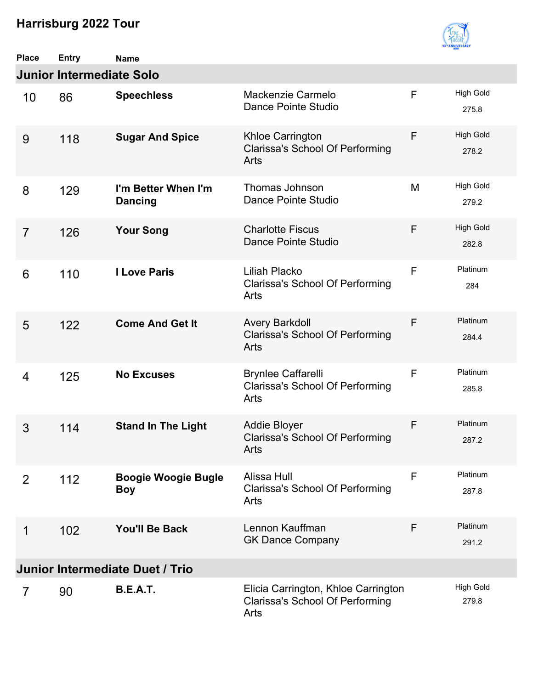

| <b>Place</b>   | <b>Entry</b>                    | <b>Name</b>                              |                                                                                       |             |                           |
|----------------|---------------------------------|------------------------------------------|---------------------------------------------------------------------------------------|-------------|---------------------------|
|                | <b>Junior Intermediate Solo</b> |                                          |                                                                                       |             |                           |
| 10             | 86                              | <b>Speechless</b>                        | Mackenzie Carmelo<br>Dance Pointe Studio                                              | $\mathsf F$ | <b>High Gold</b><br>275.8 |
| 9              | 118                             | <b>Sugar And Spice</b>                   | Khloe Carrington<br><b>Clarissa's School Of Performing</b><br>Arts                    | F           | <b>High Gold</b><br>278.2 |
| 8              | 129                             | I'm Better When I'm<br><b>Dancing</b>    | Thomas Johnson<br>Dance Pointe Studio                                                 | M           | <b>High Gold</b><br>279.2 |
| $\overline{7}$ | 126                             | <b>Your Song</b>                         | <b>Charlotte Fiscus</b><br>Dance Pointe Studio                                        | F           | <b>High Gold</b><br>282.8 |
| 6              | 110                             | <b>I Love Paris</b>                      | <b>Liliah Placko</b><br><b>Clarissa's School Of Performing</b><br>Arts                | F           | Platinum<br>284           |
| 5              | 122                             | <b>Come And Get It</b>                   | <b>Avery Barkdoll</b><br><b>Clarissa's School Of Performing</b><br>Arts               | F           | Platinum<br>284.4         |
| 4              | 125                             | <b>No Excuses</b>                        | <b>Brynlee Caffarelli</b><br><b>Clarissa's School Of Performing</b><br>Arts           | $\mathsf F$ | Platinum<br>285.8         |
| 3              | 114                             | <b>Stand In The Light</b>                | <b>Addie Bloyer</b><br><b>Clarissa's School Of Performing</b><br>Arts                 | F           | Platinum<br>287.2         |
| 2              | 112                             | <b>Boogie Woogie Bugle</b><br><b>Boy</b> | Alissa Hull<br><b>Clarissa's School Of Performing</b><br>Arts                         | F           | Platinum<br>287.8         |
| 1              | 102                             | <b>You'll Be Back</b>                    | Lennon Kauffman<br><b>GK Dance Company</b>                                            | F           | Platinum<br>291.2         |
|                |                                 | <b>Junior Intermediate Duet / Trio</b>   |                                                                                       |             |                           |
| $\overline{7}$ | 90                              | <b>B.E.A.T.</b>                          | Elicia Carrington, Khloe Carrington<br><b>Clarissa's School Of Performing</b><br>Arts |             | <b>High Gold</b><br>279.8 |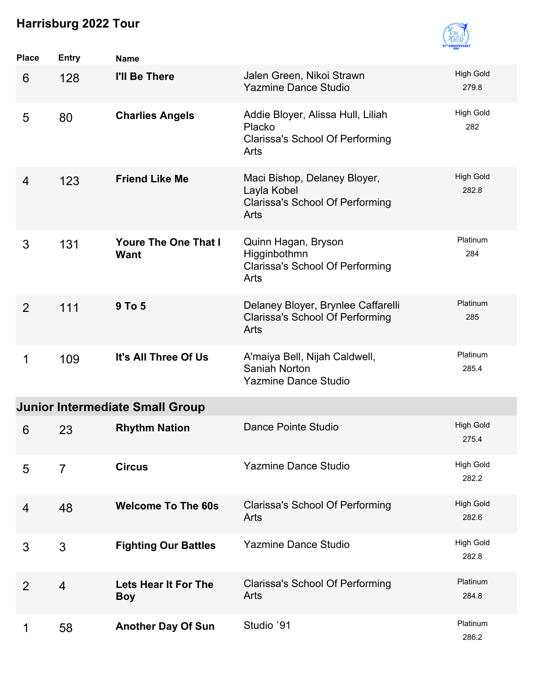

| Place          | <b>Entry</b>   | <b>Name</b>                                |                                                                                               |                           |
|----------------|----------------|--------------------------------------------|-----------------------------------------------------------------------------------------------|---------------------------|
| 6              | 128            | I'll Be There                              | Jalen Green, Nikoi Strawn<br><b>Yazmine Dance Studio</b>                                      | <b>High Gold</b><br>279.8 |
| 5              | 80             | <b>Charlies Angels</b>                     | Addie Bloyer, Alissa Hull, Liliah<br>Placko<br><b>Clarissa's School Of Performing</b><br>Arts | High Gold<br>282          |
| 4              | 123            | <b>Friend Like Me</b>                      | Maci Bishop, Delaney Bloyer,<br>Layla Kobel<br>Clarissa's School Of Performing<br><b>Arts</b> | <b>High Gold</b><br>282.8 |
| 3              | 131            | <b>Youre The One That I</b><br><b>Want</b> | Quinn Hagan, Bryson<br>Higginbothmn<br><b>Clarissa's School Of Performing</b><br>Arts         | Platinum<br>284           |
| $\overline{2}$ | 111            | 9 To 5                                     | Delaney Bloyer, Brynlee Caffarelli<br><b>Clarissa's School Of Performing</b><br>Arts          | Platinum<br>285           |
| 1              | 109            | It's All Three Of Us                       | A'maiya Bell, Nijah Caldwell,<br>Saniah Norton<br><b>Yazmine Dance Studio</b>                 | Platinum<br>285.4         |
|                |                | <b>Junior Intermediate Small Group</b>     |                                                                                               |                           |
| 6              | 23             | <b>Rhythm Nation</b>                       | Dance Pointe Studio                                                                           | <b>High Gold</b><br>275.4 |
| 5              | $\overline{7}$ | <b>Circus</b>                              | <b>Yazmine Dance Studio</b>                                                                   | <b>High Gold</b><br>282.2 |
| 4              | 48             | <b>Welcome To The 60s</b>                  | <b>Clarissa's School Of Performing</b><br>Arts                                                | <b>High Gold</b><br>282.6 |
| 3              | 3              | <b>Fighting Our Battles</b>                | <b>Yazmine Dance Studio</b>                                                                   | <b>High Gold</b><br>282.8 |
| 2              | $\overline{4}$ | Lets Hear It For The<br><b>Boy</b>         | <b>Clarissa's School Of Performing</b><br>Arts                                                | Platinum<br>284.8         |
|                | 58             | <b>Another Day Of Sun</b>                  | Studio `91                                                                                    | Platinum<br>286.2         |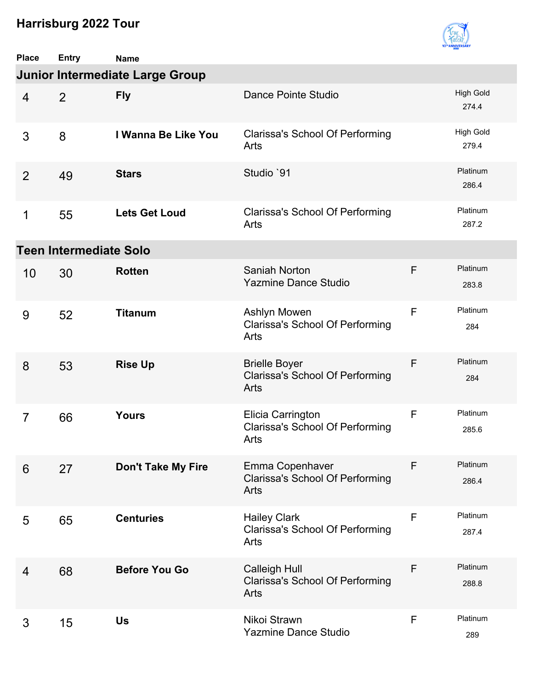

| <b>Place</b>   | <b>Entry</b>                  | <b>Name</b>                            |                                                                        |   |                           |
|----------------|-------------------------------|----------------------------------------|------------------------------------------------------------------------|---|---------------------------|
|                |                               | <b>Junior Intermediate Large Group</b> |                                                                        |   |                           |
| $\overline{4}$ | 2                             | <b>Fly</b>                             | Dance Pointe Studio                                                    |   | <b>High Gold</b><br>274.4 |
| 3              | 8                             | I Wanna Be Like You                    | <b>Clarissa's School Of Performing</b><br>Arts                         |   | <b>High Gold</b><br>279.4 |
| 2              | 49                            | <b>Stars</b>                           | Studio `91                                                             |   | Platinum<br>286.4         |
| 1              | 55                            | <b>Lets Get Loud</b>                   | <b>Clarissa's School Of Performing</b><br>Arts                         |   | Platinum<br>287.2         |
|                | <b>Teen Intermediate Solo</b> |                                        |                                                                        |   |                           |
| 10             | 30                            | <b>Rotten</b>                          | Saniah Norton<br><b>Yazmine Dance Studio</b>                           | F | Platinum<br>283.8         |
| 9              | 52                            | <b>Titanum</b>                         | Ashlyn Mowen<br><b>Clarissa's School Of Performing</b><br>Arts         | F | Platinum<br>284           |
| 8              | 53                            | <b>Rise Up</b>                         | <b>Brielle Boyer</b><br><b>Clarissa's School Of Performing</b><br>Arts | F | Platinum<br>284           |
| $\overline{7}$ | 66                            | <b>Yours</b>                           | Elicia Carrington<br><b>Clarissa's School Of Performing</b><br>Arts    | F | Platinum<br>285.6         |
| 6              | 27                            | <b>Don't Take My Fire</b>              | Emma Copenhaver<br><b>Clarissa's School Of Performing</b><br>Arts      | F | Platinum<br>286.4         |
| 5              | 65                            | <b>Centuries</b>                       | <b>Hailey Clark</b><br><b>Clarissa's School Of Performing</b><br>Arts  | F | Platinum<br>287.4         |
| 4              | 68                            | <b>Before You Go</b>                   | <b>Calleigh Hull</b><br><b>Clarissa's School Of Performing</b><br>Arts | F | Platinum<br>288.8         |
| 3              | 15                            | <b>Us</b>                              | Nikoi Strawn<br><b>Yazmine Dance Studio</b>                            | F | Platinum<br>289           |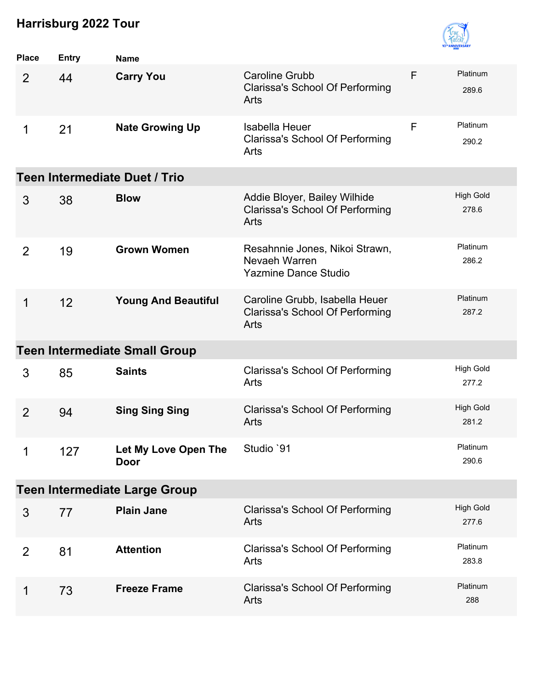

| <b>Place</b>   | <b>Entry</b>                         | <b>Name</b>                          |                                                                                  |   |                           |  |  |  |
|----------------|--------------------------------------|--------------------------------------|----------------------------------------------------------------------------------|---|---------------------------|--|--|--|
| 2              | 44                                   | <b>Carry You</b>                     | <b>Caroline Grubb</b><br><b>Clarissa's School Of Performing</b><br>Arts          | F | Platinum<br>289.6         |  |  |  |
| 1              | 21                                   | <b>Nate Growing Up</b>               | <b>Isabella Heuer</b><br><b>Clarissa's School Of Performing</b><br>Arts          | F | Platinum<br>290.2         |  |  |  |
|                | <b>Teen Intermediate Duet / Trio</b> |                                      |                                                                                  |   |                           |  |  |  |
| 3              | 38                                   | <b>Blow</b>                          | Addie Bloyer, Bailey Wilhide<br><b>Clarissa's School Of Performing</b><br>Arts   |   | <b>High Gold</b><br>278.6 |  |  |  |
| 2              | 19                                   | <b>Grown Women</b>                   | Resahnnie Jones, Nikoi Strawn,<br>Nevaeh Warren<br><b>Yazmine Dance Studio</b>   |   | Platinum<br>286.2         |  |  |  |
| 1              | 12                                   | <b>Young And Beautiful</b>           | Caroline Grubb, Isabella Heuer<br><b>Clarissa's School Of Performing</b><br>Arts |   | Platinum<br>287.2         |  |  |  |
|                |                                      | <b>Teen Intermediate Small Group</b> |                                                                                  |   |                           |  |  |  |
| 3              | 85                                   | <b>Saints</b>                        | <b>Clarissa's School Of Performing</b><br>Arts                                   |   | <b>High Gold</b><br>277.2 |  |  |  |
| $\overline{2}$ | 94                                   | <b>Sing Sing Sing</b>                | Clarissa's School Of Performing<br>Arts                                          |   | <b>High Gold</b><br>281.2 |  |  |  |
| 1              | 127                                  | Let My Love Open The<br>Door         | Studio `91                                                                       |   | Platinum<br>290.6         |  |  |  |
|                |                                      | <b>Teen Intermediate Large Group</b> |                                                                                  |   |                           |  |  |  |
| 3              | 77                                   | <b>Plain Jane</b>                    | <b>Clarissa's School Of Performing</b><br>Arts                                   |   | <b>High Gold</b><br>277.6 |  |  |  |
| $\overline{2}$ | 81                                   | <b>Attention</b>                     | <b>Clarissa's School Of Performing</b><br>Arts                                   |   | Platinum<br>283.8         |  |  |  |
| 1              | 73                                   | <b>Freeze Frame</b>                  | <b>Clarissa's School Of Performing</b><br>Arts                                   |   | Platinum<br>288           |  |  |  |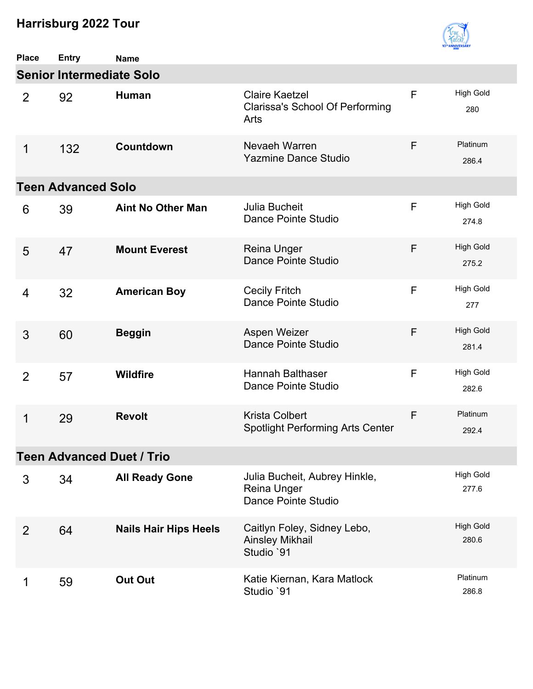

| <b>Place</b>   | <b>Entry</b>                    | <b>Name</b>                      |                                                                         |   |                           |
|----------------|---------------------------------|----------------------------------|-------------------------------------------------------------------------|---|---------------------------|
|                | <b>Senior Intermediate Solo</b> |                                  |                                                                         |   |                           |
| $\overline{2}$ | 92                              | Human                            | <b>Claire Kaetzel</b><br><b>Clarissa's School Of Performing</b><br>Arts | F | <b>High Gold</b><br>280   |
| 1              | 132                             | Countdown                        | Nevaeh Warren<br><b>Yazmine Dance Studio</b>                            | F | Platinum<br>286.4         |
|                | <b>Teen Advanced Solo</b>       |                                  |                                                                         |   |                           |
| 6              | 39                              | <b>Aint No Other Man</b>         | <b>Julia Bucheit</b><br>Dance Pointe Studio                             | F | <b>High Gold</b><br>274.8 |
| 5              | 47                              | <b>Mount Everest</b>             | <b>Reina Unger</b><br>Dance Pointe Studio                               | F | <b>High Gold</b><br>275.2 |
| 4              | 32                              | <b>American Boy</b>              | <b>Cecily Fritch</b><br>Dance Pointe Studio                             | F | <b>High Gold</b><br>277   |
| 3              | 60                              | <b>Beggin</b>                    | Aspen Weizer<br>Dance Pointe Studio                                     | F | <b>High Gold</b><br>281.4 |
| 2              | 57                              | <b>Wildfire</b>                  | <b>Hannah Balthaser</b><br>Dance Pointe Studio                          | F | <b>High Gold</b><br>282.6 |
| 1              | 29                              | <b>Revolt</b>                    | <b>Krista Colbert</b><br><b>Spotlight Performing Arts Center</b>        | F | Platinum<br>292.4         |
|                |                                 | <b>Teen Advanced Duet / Trio</b> |                                                                         |   |                           |
| 3              | 34                              | <b>All Ready Gone</b>            | Julia Bucheit, Aubrey Hinkle,<br>Reina Unger<br>Dance Pointe Studio     |   | <b>High Gold</b><br>277.6 |
| 2              | 64                              | <b>Nails Hair Hips Heels</b>     | Caitlyn Foley, Sidney Lebo,<br><b>Ainsley Mikhail</b><br>Studio `91     |   | <b>High Gold</b><br>280.6 |
| 1              | 59                              | <b>Out Out</b>                   | Katie Kiernan, Kara Matlock<br>Studio `91                               |   | Platinum<br>286.8         |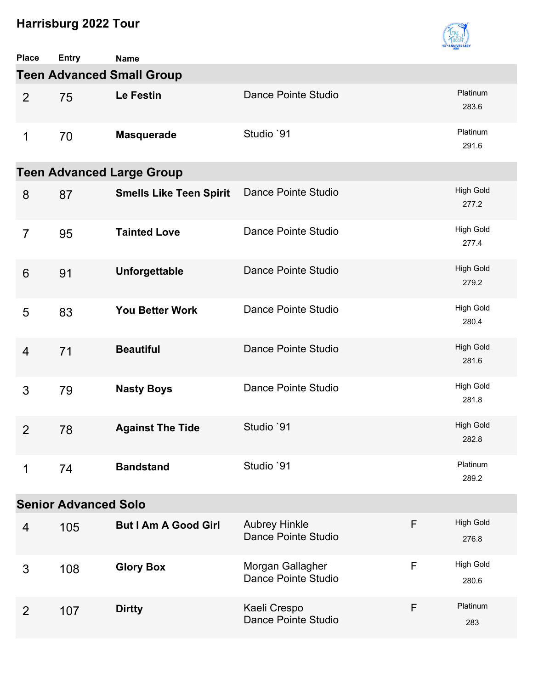

| <b>Place</b>   | <b>Entry</b>                | <b>Name</b>                      |                                             |   |                           |
|----------------|-----------------------------|----------------------------------|---------------------------------------------|---|---------------------------|
|                |                             | <b>Teen Advanced Small Group</b> |                                             |   |                           |
| 2              | 75                          | Le Festin                        | Dance Pointe Studio                         |   | Platinum<br>283.6         |
| 1              | 70                          | <b>Masquerade</b>                | Studio `91                                  |   | Platinum<br>291.6         |
|                |                             | <b>Teen Advanced Large Group</b> |                                             |   |                           |
| 8              | 87                          | <b>Smells Like Teen Spirit</b>   | Dance Pointe Studio                         |   | <b>High Gold</b><br>277.2 |
| $\overline{7}$ | 95                          | <b>Tainted Love</b>              | Dance Pointe Studio                         |   | <b>High Gold</b><br>277.4 |
| 6              | 91                          | Unforgettable                    | Dance Pointe Studio                         |   | <b>High Gold</b><br>279.2 |
| 5              | 83                          | <b>You Better Work</b>           | Dance Pointe Studio                         |   | <b>High Gold</b><br>280.4 |
| $\overline{4}$ | 71                          | <b>Beautiful</b>                 | Dance Pointe Studio                         |   | <b>High Gold</b><br>281.6 |
| 3              | 79                          | <b>Nasty Boys</b>                | Dance Pointe Studio                         |   | <b>High Gold</b><br>281.8 |
| $\overline{2}$ | 78                          | <b>Against The Tide</b>          | Studio `91                                  |   | <b>High Gold</b><br>282.8 |
| 1              | 74                          | <b>Bandstand</b>                 | Studio `91                                  |   | Platinum<br>289.2         |
|                | <b>Senior Advanced Solo</b> |                                  |                                             |   |                           |
| 4              | 105                         | <b>But I Am A Good Girl</b>      | <b>Aubrey Hinkle</b><br>Dance Pointe Studio | F | <b>High Gold</b><br>276.8 |
| 3              | 108                         | <b>Glory Box</b>                 | Morgan Gallagher<br>Dance Pointe Studio     | F | <b>High Gold</b><br>280.6 |
| 2              | 107                         | <b>Dirtty</b>                    | Kaeli Crespo<br>Dance Pointe Studio         | F | Platinum<br>283           |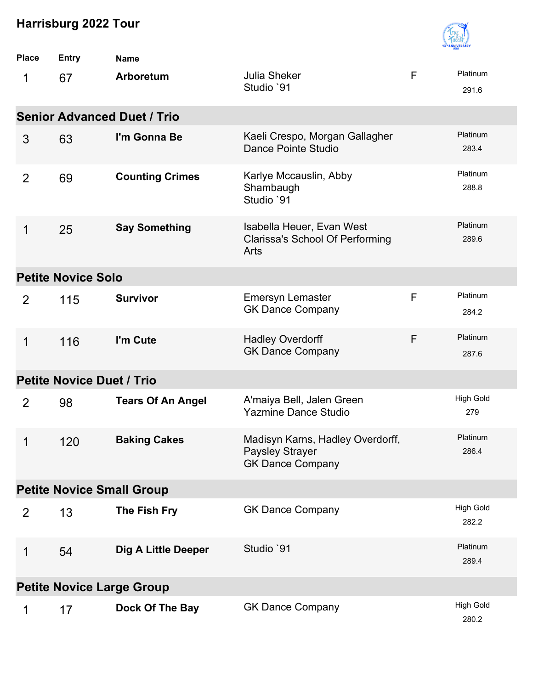

| <b>Place</b>   | <b>Entry</b>                     | <b>Name</b>                        |                                                                                |   |                           |  |  |
|----------------|----------------------------------|------------------------------------|--------------------------------------------------------------------------------|---|---------------------------|--|--|
| 1              | 67                               | Arboretum                          | <b>Julia Sheker</b><br>Studio `91                                              | F | Platinum<br>291.6         |  |  |
|                |                                  | <b>Senior Advanced Duet / Trio</b> |                                                                                |   |                           |  |  |
| 3              | 63                               | I'm Gonna Be                       | Kaeli Crespo, Morgan Gallagher<br>Dance Pointe Studio                          |   | Platinum<br>283.4         |  |  |
| $\overline{2}$ | 69                               | <b>Counting Crimes</b>             | Karlye Mccauslin, Abby<br>Shambaugh<br>Studio `91                              |   | Platinum<br>288.8         |  |  |
| 1              | 25                               | <b>Say Something</b>               | Isabella Heuer, Evan West<br><b>Clarissa's School Of Performing</b><br>Arts    |   | Platinum<br>289.6         |  |  |
|                | <b>Petite Novice Solo</b>        |                                    |                                                                                |   |                           |  |  |
| 2              | 115                              | <b>Survivor</b>                    | <b>Emersyn Lemaster</b><br><b>GK Dance Company</b>                             | F | Platinum<br>284.2         |  |  |
| 1              | 116                              | I'm Cute                           | <b>Hadley Overdorff</b><br><b>GK Dance Company</b>                             | F | Platinum<br>287.6         |  |  |
|                | <b>Petite Novice Duet / Trio</b> |                                    |                                                                                |   |                           |  |  |
| $\overline{2}$ | 98                               | <b>Tears Of An Angel</b>           | A'maiya Bell, Jalen Green<br><b>Yazmine Dance Studio</b>                       |   | <b>High Gold</b><br>279   |  |  |
| $\mathbf 1$    | 120                              | <b>Baking Cakes</b>                | Madisyn Karns, Hadley Overdorff,<br>Paysley Strayer<br><b>GK Dance Company</b> |   | Platinum<br>286.4         |  |  |
|                |                                  | <b>Petite Novice Small Group</b>   |                                                                                |   |                           |  |  |
| $\overline{2}$ | 13                               | The Fish Fry                       | <b>GK Dance Company</b>                                                        |   | <b>High Gold</b><br>282.2 |  |  |
| 1              | 54                               | <b>Dig A Little Deeper</b>         | Studio `91                                                                     |   | Platinum<br>289.4         |  |  |
|                |                                  | <b>Petite Novice Large Group</b>   |                                                                                |   |                           |  |  |
| 1              | 17                               | Dock Of The Bay                    | <b>GK Dance Company</b>                                                        |   | <b>High Gold</b><br>280.2 |  |  |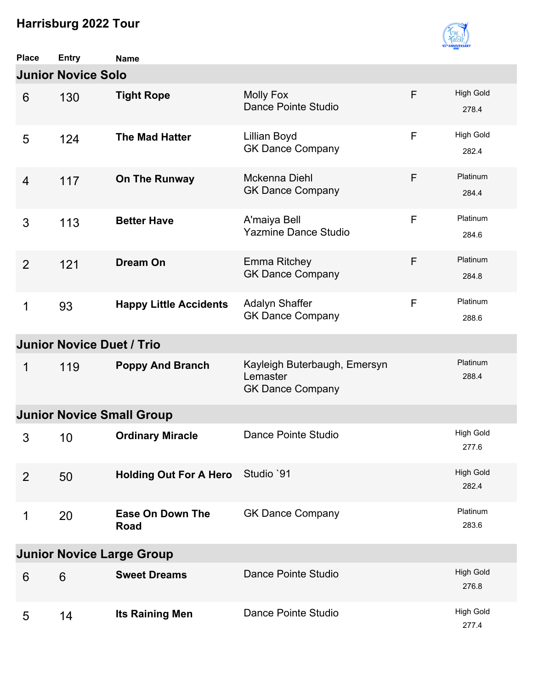

| <b>Place</b>   | <b>Entry</b>                     | <b>Name</b>                            |                                                                     |   |                           |
|----------------|----------------------------------|----------------------------------------|---------------------------------------------------------------------|---|---------------------------|
|                | <b>Junior Novice Solo</b>        |                                        |                                                                     |   |                           |
| 6              | 130                              | <b>Tight Rope</b>                      | <b>Molly Fox</b><br>Dance Pointe Studio                             | F | <b>High Gold</b><br>278.4 |
| 5              | 124                              | <b>The Mad Hatter</b>                  | Lillian Boyd<br><b>GK Dance Company</b>                             | F | <b>High Gold</b><br>282.4 |
| $\overline{4}$ | 117                              | On The Runway                          | Mckenna Diehl<br><b>GK Dance Company</b>                            | F | Platinum<br>284.4         |
| 3              | 113                              | <b>Better Have</b>                     | A'maiya Bell<br><b>Yazmine Dance Studio</b>                         | F | Platinum<br>284.6         |
| $\overline{2}$ | 121                              | <b>Dream On</b>                        | <b>Emma Ritchey</b><br><b>GK Dance Company</b>                      | F | Platinum<br>284.8         |
| $\mathbf 1$    | 93                               | <b>Happy Little Accidents</b>          | Adalyn Shaffer<br><b>GK Dance Company</b>                           | F | Platinum<br>288.6         |
|                | <b>Junior Novice Duet / Trio</b> |                                        |                                                                     |   |                           |
| 1              | 119                              | <b>Poppy And Branch</b>                | Kayleigh Buterbaugh, Emersyn<br>Lemaster<br><b>GK Dance Company</b> |   | Platinum<br>288.4         |
|                |                                  | <b>Junior Novice Small Group</b>       |                                                                     |   |                           |
| 3              | 10                               | <b>Ordinary Miracle</b>                | Dance Pointe Studio                                                 |   | <b>High Gold</b><br>277.6 |
| $\overline{2}$ | 50                               | <b>Holding Out For A Hero</b>          | Studio '91                                                          |   | <b>High Gold</b><br>282.4 |
| 1              | 20                               | <b>Ease On Down The</b><br><b>Road</b> | <b>GK Dance Company</b>                                             |   | Platinum<br>283.6         |
|                |                                  | <b>Junior Novice Large Group</b>       |                                                                     |   |                           |
| 6              | 6                                | <b>Sweet Dreams</b>                    | Dance Pointe Studio                                                 |   | <b>High Gold</b><br>276.8 |
| 5              | 14                               | Its Raining Men                        | Dance Pointe Studio                                                 |   | <b>High Gold</b><br>277.4 |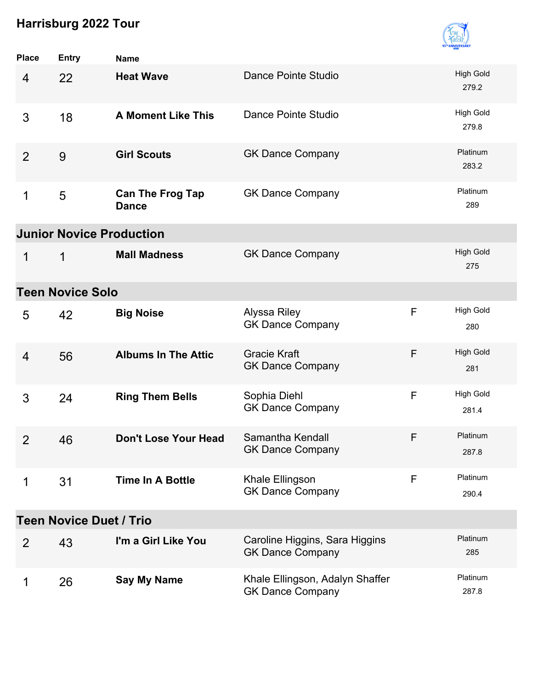

| <b>Place</b>   | <b>Entry</b>                    | <b>Name</b>                             |                                                            |   |                           |
|----------------|---------------------------------|-----------------------------------------|------------------------------------------------------------|---|---------------------------|
| $\overline{4}$ | 22                              | <b>Heat Wave</b>                        | Dance Pointe Studio                                        |   | <b>High Gold</b><br>279.2 |
| 3              | 18                              | <b>A Moment Like This</b>               | Dance Pointe Studio                                        |   | <b>High Gold</b><br>279.8 |
| 2              | 9                               | <b>Girl Scouts</b>                      | <b>GK Dance Company</b>                                    |   | Platinum<br>283.2         |
| 1              | 5                               | <b>Can The Frog Tap</b><br><b>Dance</b> | <b>GK Dance Company</b>                                    |   | Platinum<br>289           |
|                | <b>Junior Novice Production</b> |                                         |                                                            |   |                           |
| 1              | 1                               | <b>Mall Madness</b>                     | <b>GK Dance Company</b>                                    |   | <b>High Gold</b><br>275   |
|                | <b>Teen Novice Solo</b>         |                                         |                                                            |   |                           |
| 5              | 42                              | <b>Big Noise</b>                        | Alyssa Riley<br><b>GK Dance Company</b>                    | F | <b>High Gold</b><br>280   |
| 4              | 56                              | <b>Albums In The Attic</b>              | <b>Gracie Kraft</b><br><b>GK Dance Company</b>             | F | <b>High Gold</b><br>281   |
| 3              | 24                              | <b>Ring Them Bells</b>                  | Sophia Diehl<br><b>GK Dance Company</b>                    | F | <b>High Gold</b><br>281.4 |
| $\overline{2}$ | 46                              | <b>Don't Lose Your Head</b>             | Samantha Kendall<br><b>GK Dance Company</b>                | F | Platinum<br>287.8         |
| 1              | 31                              | <b>Time In A Bottle</b>                 | Khale Ellingson<br><b>GK Dance Company</b>                 | F | Platinum<br>290.4         |
|                | <b>Teen Novice Duet / Trio</b>  |                                         |                                                            |   |                           |
| $\overline{2}$ | 43                              | I'm a Girl Like You                     | Caroline Higgins, Sara Higgins<br><b>GK Dance Company</b>  |   | Platinum<br>285           |
| 1              | 26                              | <b>Say My Name</b>                      | Khale Ellingson, Adalyn Shaffer<br><b>GK Dance Company</b> |   | Platinum<br>287.8         |